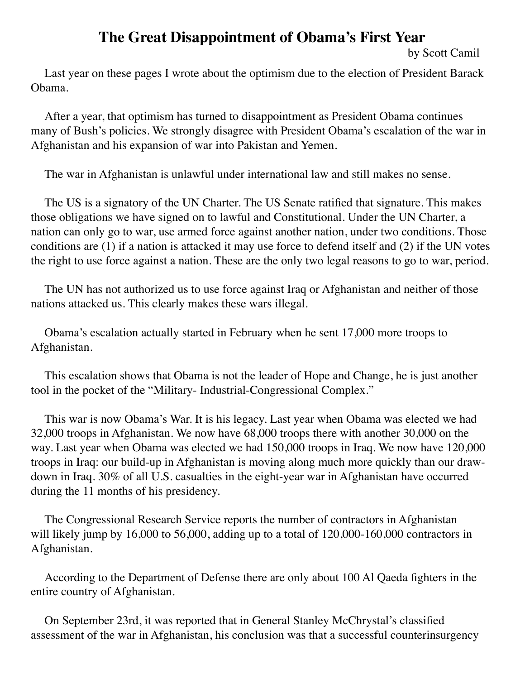# **The Great Disappointment of Obama's First Year**

by Scott Camil

Last year on these pages I wrote about the optimism due to the election of President Barack Obama.

After a year, that optimism has turned to disappointment as President Obama continues many of Bush's policies. We strongly disagree with President Obama's escalation of the war in Afghanistan and his expansion of war into Pakistan and Yemen.

The war in Afghanistan is unlawful under international law and still makes no sense.

The US is a signatory of the UN Charter. The US Senate ratified that signature. This makes those obligations we have signed on to lawful and Constitutional. Under the UN Charter, a nation can only go to war, use armed force against another nation, under two conditions. Those conditions are (1) if a nation is attacked it may use force to defend itself and (2) if the UN votes the right to use force against a nation. These are the only two legal reasons to go to war, period.

The UN has not authorized us to use force against Iraq or Afghanistan and neither of those nations attacked us. This clearly makes these wars illegal.

Obama's escalation actually started in February when he sent 17,000 more troops to Afghanistan.

This escalation shows that Obama is not the leader of Hope and Change, he is just another tool in the pocket of the "Military- Industrial-Congressional Complex."

This war is now Obama's War. It is his legacy. Last year when Obama was elected we had 32,000 troops in Afghanistan. We now have 68,000 troops there with another 30,000 on the way. Last year when Obama was elected we had 150,000 troops in Iraq. We now have 120,000 troops in Iraq: our build-up in Afghanistan is moving along much more quickly than our drawdown in Iraq. 30% of all U.S. casualties in the eight-year war in Afghanistan have occurred during the 11 months of his presidency.

The Congressional Research Service reports the number of contractors in Afghanistan will likely jump by 16,000 to 56,000, adding up to a total of 120,000-160,000 contractors in Afghanistan.

According to the Department of Defense there are only about 100 Al Qaeda fighters in the entire country of Afghanistan.

On September 23rd, it was reported that in General Stanley McChrystal's classified assessment of the war in Afghanistan, his conclusion was that a successful counterinsurgency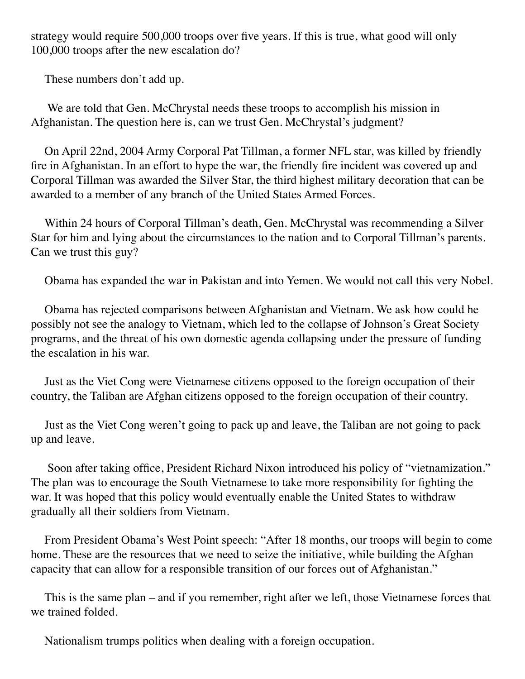strategy would require 500,000 troops over five years. If this is true, what good will only 100,000 troops after the new escalation do?

These numbers don't add up.

 We are told that Gen. McChrystal needs these troops to accomplish his mission in Afghanistan. The question here is, can we trust Gen. McChrystal's judgment?

On April 22nd, 2004 Army Corporal Pat Tillman, a former NFL star, was killed by friendly fire in Afghanistan. In an effort to hype the war, the friendly fire incident was covered up and Corporal Tillman was awarded the Silver Star, the third highest military decoration that can be awarded to a member of any branch of the United States Armed Forces.

Within 24 hours of Corporal Tillman's death, Gen. McChrystal was recommending a Silver Star for him and lying about the circumstances to the nation and to Corporal Tillman's parents. Can we trust this guy?

Obama has expanded the war in Pakistan and into Yemen. We would not call this very Nobel.

Obama has rejected comparisons between Afghanistan and Vietnam. We ask how could he possibly not see the analogy to Vietnam, which led to the collapse of Johnson's Great Society programs, and the threat of his own domestic agenda collapsing under the pressure of funding the escalation in his war.

Just as the Viet Cong were Vietnamese citizens opposed to the foreign occupation of their country, the Taliban are Afghan citizens opposed to the foreign occupation of their country.

Just as the Viet Cong weren't going to pack up and leave, the Taliban are not going to pack up and leave.

 Soon after taking office, President Richard Nixon introduced his policy of "vietnamization." The plan was to encourage the South Vietnamese to take more responsibility for fighting the war. It was hoped that this policy would eventually enable the United States to withdraw gradually all their soldiers from Vietnam.

From President Obama's West Point speech: "After 18 months, our troops will begin to come home. These are the resources that we need to seize the initiative, while building the Afghan capacity that can allow for a responsible transition of our forces out of Afghanistan."

This is the same plan – and if you remember, right after we left, those Vietnamese forces that we trained folded.

Nationalism trumps politics when dealing with a foreign occupation.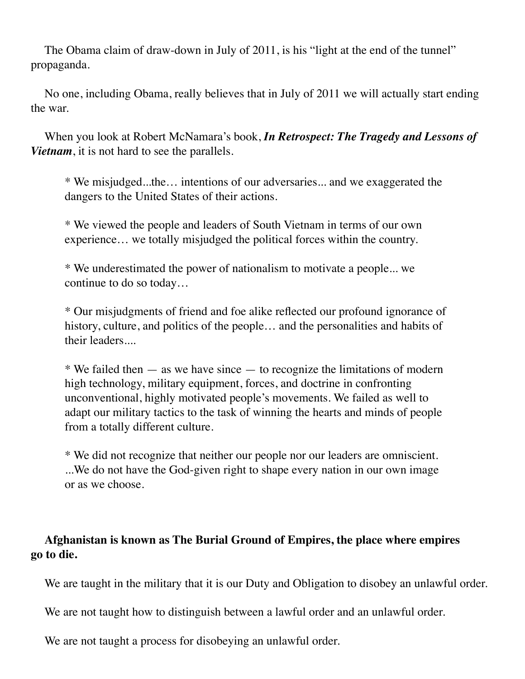The Obama claim of draw-down in July of 2011, is his "light at the end of the tunnel" propaganda.

No one, including Obama, really believes that in July of 2011 we will actually start ending the war.

When you look at Robert McNamara's book, *In Retrospect: The Tragedy and Lessons of Vietnam*, it is not hard to see the parallels.

\* We misjudged...the… intentions of our adversaries... and we exaggerated the dangers to the United States of their actions.

\* We viewed the people and leaders of South Vietnam in terms of our own experience… we totally misjudged the political forces within the country.

\* We underestimated the power of nationalism to motivate a people... we continue to do so today…

\* Our misjudgments of friend and foe alike reflected our profound ignorance of history, culture, and politics of the people... and the personalities and habits of their leaders....

 $*$  We failed then  $-$  as we have since  $-$  to recognize the limitations of modern high technology, military equipment, forces, and doctrine in confronting unconventional, highly motivated people's movements. We failed as well to adapt our military tactics to the task of winning the hearts and minds of people from a totally different culture.

\* We did not recognize that neither our people nor our leaders are omniscient. ...We do not have the God-given right to shape every nation in our own image or as we choose.

### **Afghanistan is known as The Burial Ground of Empires, the place where empires go to die.**

We are taught in the military that it is our Duty and Obligation to disobey an unlawful order.

We are not taught how to distinguish between a lawful order and an unlawful order.

We are not taught a process for disobeying an unlawful order.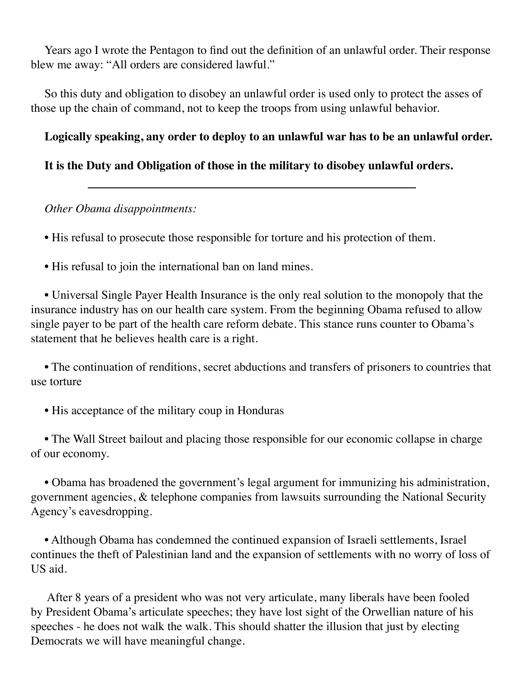Years ago I wrote the Pentagon to find out the definition of an unlawful order. Their response blew me away: "All orders are considered lawful."

So this duty and obligation to disobey an unlawful order is used only to protect the asses of those up the chain of command, not to keep the troops from using unlawful behavior.

## **Logically speaking, any order to deploy to an unlawful war has to be an unlawful order.**

## **It is the Duty and Obligation of those in the military to disobey unlawful orders.**

#### *Other Obama disappointments:*

• His refusal to prosecute those responsible for torture and his protection of them.

• His refusal to join the international ban on land mines.

• Universal Single Payer Health Insurance is the only real solution to the monopoly that the insurance industry has on our health care system. From the beginning Obama refused to allow single payer to be part of the health care reform debate. This stance runs counter to Obama's statement that he believes health care is a right.

• The continuation of renditions, secret abductions and transfers of prisoners to countries that use torture

• His acceptance of the military coup in Honduras

• The Wall Street bailout and placing those responsible for our economic collapse in charge of our economy.

• Obama has broadened the government's legal argument for immunizing his administration, government agencies, & telephone companies from lawsuits surrounding the National Security Agency's eavesdropping.

• Although Obama has condemned the continued expansion of Israeli settlements, Israel continues the theft of Palestinian land and the expansion of settlements with no worry of loss of US aid.

 After 8 years of a president who was not very articulate, many liberals have been fooled by President Obama's articulate speeches; they have lost sight of the Orwellian nature of his speeches - he does not walk the walk. This should shatter the illusion that just by electing Democrats we will have meaningful change.